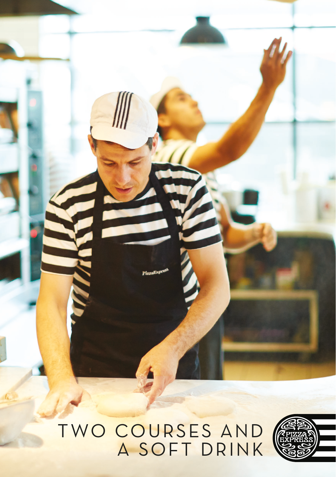

T WO COURSES AND A SOFT DRINK